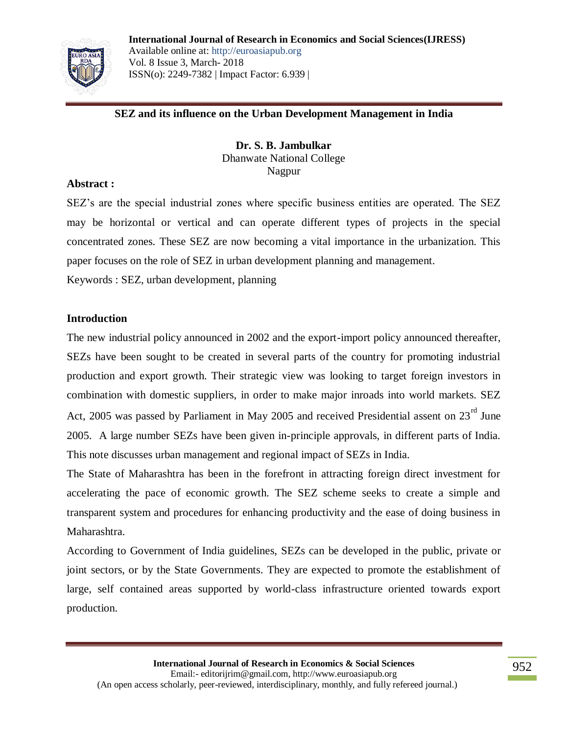

#### **SEZ and its influence on the Urban Development Management in India**

**Dr. S. B. Jambulkar** Dhanwate National College Nagpur

#### **Abstract :**

SEZ"s are the special industrial zones where specific business entities are operated. The SEZ may be horizontal or vertical and can operate different types of projects in the special concentrated zones. These SEZ are now becoming a vital importance in the urbanization. This paper focuses on the role of SEZ in urban development planning and management.

Keywords : SEZ, urban development, planning

#### **Introduction**

The new industrial policy announced in 2002 and the export-import policy announced thereafter, SEZs have been sought to be created in several parts of the country for promoting industrial production and export growth. Their strategic view was looking to target foreign investors in combination with domestic suppliers, in order to make major inroads into world markets. SEZ Act, 2005 was passed by Parliament in May 2005 and received Presidential assent on  $23<sup>rd</sup>$  June 2005. A large number SEZs have been given in-principle approvals, in different parts of India. This note discusses urban management and regional impact of SEZs in India.

The State of Maharashtra has been in the forefront in attracting foreign direct investment for accelerating the pace of economic growth. The SEZ scheme seeks to create a simple and transparent system and procedures for enhancing productivity and the ease of doing business in Maharashtra.

According to Government of India guidelines, SEZs can be developed in the public, private or joint sectors, or by the State Governments. They are expected to promote the establishment of large, self contained areas supported by world-class infrastructure oriented towards export production.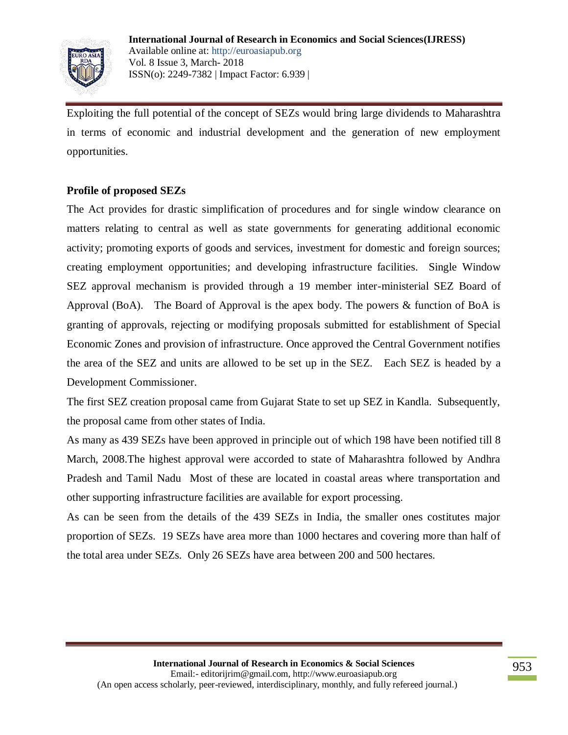

Exploiting the full potential of the concept of SEZs would bring large dividends to Maharashtra in terms of economic and industrial development and the generation of new employment opportunities.

# **Profile of proposed SEZs**

The Act provides for drastic simplification of procedures and for single window clearance on matters relating to central as well as state governments for generating additional economic activity; promoting exports of goods and services, investment for domestic and foreign sources; creating employment opportunities; and developing infrastructure facilities. Single Window SEZ approval mechanism is provided through a 19 member inter-ministerial SEZ Board of Approval (BoA). The Board of Approval is the apex body. The powers & function of BoA is granting of approvals, rejecting or modifying proposals submitted for establishment of Special Economic Zones and provision of infrastructure. Once approved the Central Government notifies the area of the SEZ and units are allowed to be set up in the SEZ. Each SEZ is headed by a Development Commissioner.

The first SEZ creation proposal came from Gujarat State to set up SEZ in Kandla. Subsequently, the proposal came from other states of India.

As many as 439 SEZs have been approved in principle out of which 198 have been notified till 8 March, 2008.The highest approval were accorded to state of Maharashtra followed by Andhra Pradesh and Tamil Nadu Most of these are located in coastal areas where transportation and other supporting infrastructure facilities are available for export processing.

As can be seen from the details of the 439 SEZs in India, the smaller ones costitutes major proportion of SEZs. 19 SEZs have area more than 1000 hectares and covering more than half of the total area under SEZs. Only 26 SEZs have area between 200 and 500 hectares.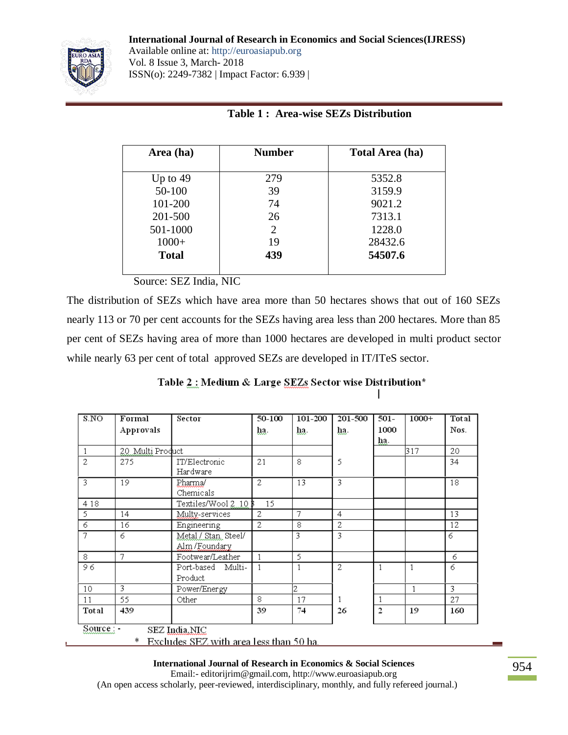**International Journal of Research in Economics and Social Sciences(IJRESS)**



Available online at: http://euroasiapub.org Vol. 8 Issue 3, March- 2018 ISSN(o): 2249-7382 | Impact Factor: 6.939 |

|  | <b>Table 1: Area-wise SEZs Distribution</b> |
|--|---------------------------------------------|
|  |                                             |

| Area (ha)    | <b>Number</b>         | <b>Total Area (ha)</b> |  |  |
|--------------|-----------------------|------------------------|--|--|
| Up to $49$   | 279                   | 5352.8                 |  |  |
| 50-100       | 39                    | 3159.9                 |  |  |
| 101-200      | 74                    | 9021.2                 |  |  |
| 201-500      | 26                    | 7313.1                 |  |  |
| 501-1000     | $\mathcal{D}_{\cdot}$ | 1228.0                 |  |  |
| $1000+$      | 19                    | 28432.6                |  |  |
| <b>Total</b> | 439                   | 54507.6                |  |  |
|              |                       |                        |  |  |

Source: SEZ India, NIC

The distribution of SEZs which have area more than 50 hectares shows that out of 160 SEZs nearly 113 or 70 per cent accounts for the SEZs having area less than 200 hectares. More than 85 per cent of SEZs having area of more than 1000 hectares are developed in multi product sector while nearly 63 per cent of total approved SEZs are developed in IT/ITeS sector.

Table 2: Medium & Large SEZs Sector wise Distribution\*

| S.NO           | Formal           | Sector                                  | 50-100         | 101-200 | 201-500        | $501 -$        | $1000+$ | Total |
|----------------|------------------|-----------------------------------------|----------------|---------|----------------|----------------|---------|-------|
|                | Approvals        |                                         | ha.            | ha.     | ha.            | 1000           |         | Nos.  |
|                |                  |                                         |                |         |                | ha.            |         |       |
| 1              | 20 Multi Product |                                         |                |         |                |                | 317     | 20    |
| $\overline{2}$ | 275              | IT/Electronic                           | 21             | 8       | 5              |                |         | 34    |
|                |                  | Hardware                                |                |         |                |                |         |       |
| 3              | 19               | Pharma/                                 | $\overline{c}$ | 13      | 3              |                |         | 18    |
|                |                  | Chemicals                               |                |         |                |                |         |       |
| 4 1 8          |                  | Textiles/Wool 2–10-                     | 15             |         |                |                |         |       |
| 5              | 14               | Multy-services                          | 2              | 7       | $\overline{4}$ |                |         | 13    |
| 6              | 16               | Engineering                             | 2              | 8       | 2              |                |         | 12    |
| 7              | 6                | Metal / Stan, Steel/                    |                | 3       | 3              |                |         | 6     |
|                |                  | Alm/Foundary                            |                |         |                |                |         |       |
| 8              | 7                | Footwear/Leather                        |                | 5       |                |                |         | 6     |
| 96             |                  | Port-based Multi-                       | 1              |         | 2.             | 1              | 1       | 6     |
|                |                  | Product                                 |                |         |                |                |         |       |
| 10             | 3                | Power/Energy                            |                | 2       |                |                |         | 3     |
| 11             | 55.              | Other                                   | 8              | 17      |                | 1              |         | 27    |
| Total          | 439              |                                         | 39             | 74      | 26             | $\overline{2}$ | 19      | 160   |
| Source : -     |                  | SEZ India, NIC                          |                |         |                |                |         |       |
|                | ∗                | Excludes SEZ with area less than 50 ha. |                |         |                |                |         |       |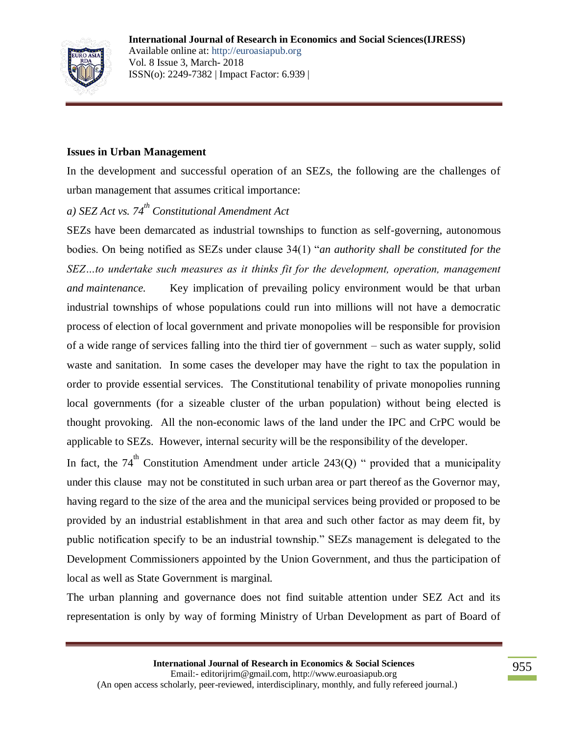

## **Issues in Urban Management**

In the development and successful operation of an SEZs, the following are the challenges of urban management that assumes critical importance:

# *a) SEZ Act vs. 74th Constitutional Amendment Act*

SEZs have been demarcated as industrial townships to function as self-governing, autonomous bodies. On being notified as SEZs under clause 34(1) "*an authority shall be constituted for the SEZ…to undertake such measures as it thinks fit for the development, operation, management and maintenance.* Key implication of prevailing policy environment would be that urban industrial townships of whose populations could run into millions will not have a democratic process of election of local government and private monopolies will be responsible for provision of a wide range of services falling into the third tier of government – such as water supply, solid waste and sanitation. In some cases the developer may have the right to tax the population in order to provide essential services. The Constitutional tenability of private monopolies running local governments (for a sizeable cluster of the urban population) without being elected is thought provoking. All the non-economic laws of the land under the IPC and CrPC would be applicable to SEZs. However, internal security will be the responsibility of the developer.

In fact, the 74<sup>th</sup> Constitution Amendment under article 243(Q) " provided that a municipality under this clause may not be constituted in such urban area or part thereof as the Governor may, having regard to the size of the area and the municipal services being provided or proposed to be provided by an industrial establishment in that area and such other factor as may deem fit, by public notification specify to be an industrial township." SEZs management is delegated to the Development Commissioners appointed by the Union Government, and thus the participation of local as well as State Government is marginal.

The urban planning and governance does not find suitable attention under SEZ Act and its representation is only by way of forming Ministry of Urban Development as part of Board of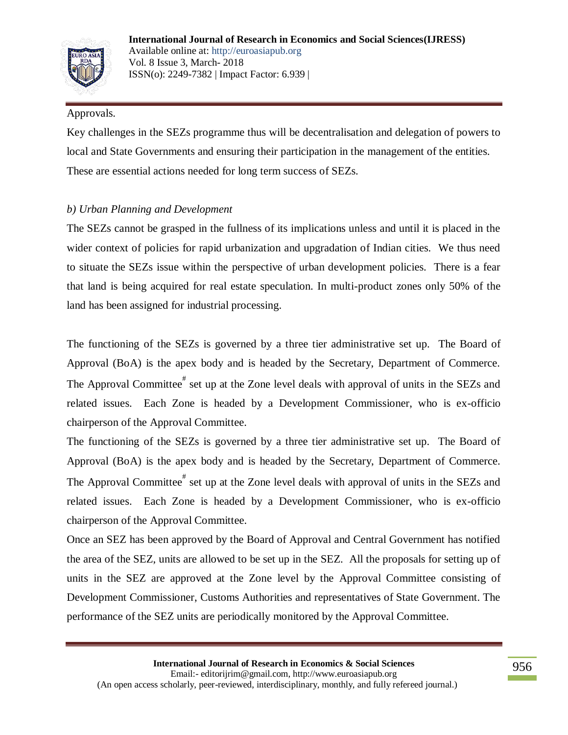

## Approvals.

Key challenges in the SEZs programme thus will be decentralisation and delegation of powers to local and State Governments and ensuring their participation in the management of the entities. These are essential actions needed for long term success of SEZs.

# *b) Urban Planning and Development*

The SEZs cannot be grasped in the fullness of its implications unless and until it is placed in the wider context of policies for rapid urbanization and upgradation of Indian cities. We thus need to situate the SEZs issue within the perspective of urban development policies. There is a fear that land is being acquired for real estate speculation. In multi-product zones only 50% of the land has been assigned for industrial processing.

The functioning of the SEZs is governed by a three tier administrative set up. The Board of Approval (BoA) is the apex body and is headed by the Secretary, Department of Commerce. The Approval Committee<sup>#</sup> set up at the Zone level deals with approval of units in the SEZs and related issues. Each Zone is headed by a Development Commissioner, who is ex-officio chairperson of the Approval Committee.

The functioning of the SEZs is governed by a three tier administrative set up. The Board of Approval (BoA) is the apex body and is headed by the Secretary, Department of Commerce. The Approval Committee<sup>#</sup> set up at the Zone level deals with approval of units in the SEZs and related issues. Each Zone is headed by a Development Commissioner, who is ex-officio chairperson of the Approval Committee.

Once an SEZ has been approved by the Board of Approval and Central Government has notified the area of the SEZ, units are allowed to be set up in the SEZ. All the proposals for setting up of units in the SEZ are approved at the Zone level by the Approval Committee consisting of Development Commissioner, Customs Authorities and representatives of State Government. The performance of the SEZ units are periodically monitored by the Approval Committee.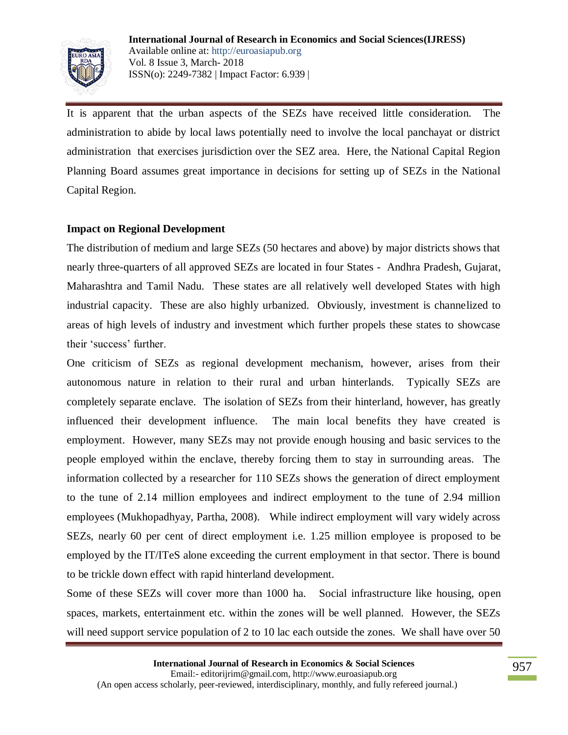

It is apparent that the urban aspects of the SEZs have received little consideration. The administration to abide by local laws potentially need to involve the local panchayat or district administration that exercises jurisdiction over the SEZ area. Here, the National Capital Region Planning Board assumes great importance in decisions for setting up of SEZs in the National Capital Region.

## **Impact on Regional Development**

The distribution of medium and large SEZs (50 hectares and above) by major districts shows that nearly three-quarters of all approved SEZs are located in four States - Andhra Pradesh, Gujarat, Maharashtra and Tamil Nadu. These states are all relatively well developed States with high industrial capacity. These are also highly urbanized. Obviously, investment is channelized to areas of high levels of industry and investment which further propels these states to showcase their 'success' further.

One criticism of SEZs as regional development mechanism, however, arises from their autonomous nature in relation to their rural and urban hinterlands. Typically SEZs are completely separate enclave. The isolation of SEZs from their hinterland, however, has greatly influenced their development influence. The main local benefits they have created is employment. However, many SEZs may not provide enough housing and basic services to the people employed within the enclave, thereby forcing them to stay in surrounding areas. The information collected by a researcher for 110 SEZs shows the generation of direct employment to the tune of 2.14 million employees and indirect employment to the tune of 2.94 million employees (Mukhopadhyay, Partha, 2008). While indirect employment will vary widely across SEZs, nearly 60 per cent of direct employment i.e. 1.25 million employee is proposed to be employed by the IT/ITeS alone exceeding the current employment in that sector. There is bound to be trickle down effect with rapid hinterland development.

Some of these SEZs will cover more than 1000 ha. Social infrastructure like housing, open spaces, markets, entertainment etc. within the zones will be well planned. However, the SEZs will need support service population of 2 to 10 lac each outside the zones. We shall have over 50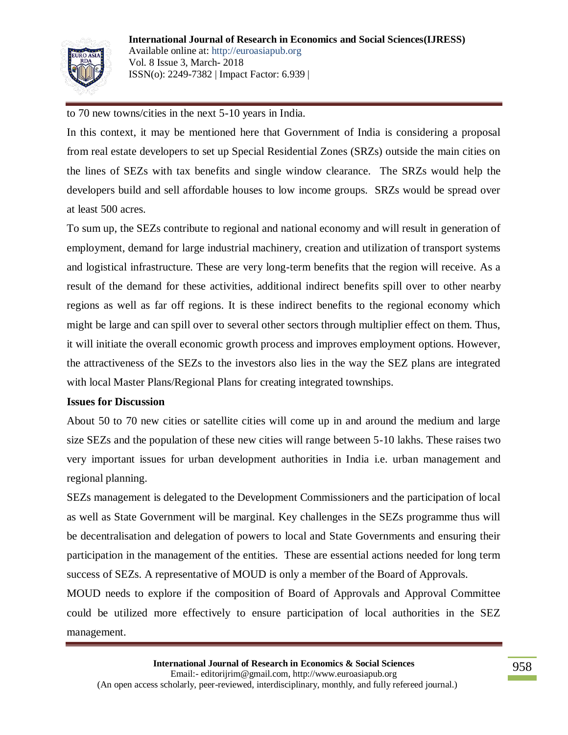

to 70 new towns/cities in the next 5-10 years in India.

In this context, it may be mentioned here that Government of India is considering a proposal from real estate developers to set up Special Residential Zones (SRZs) outside the main cities on the lines of SEZs with tax benefits and single window clearance. The SRZs would help the developers build and sell affordable houses to low income groups. SRZs would be spread over at least 500 acres.

To sum up, the SEZs contribute to regional and national economy and will result in generation of employment, demand for large industrial machinery, creation and utilization of transport systems and logistical infrastructure. These are very long-term benefits that the region will receive. As a result of the demand for these activities, additional indirect benefits spill over to other nearby regions as well as far off regions. It is these indirect benefits to the regional economy which might be large and can spill over to several other sectors through multiplier effect on them. Thus, it will initiate the overall economic growth process and improves employment options. However, the attractiveness of the SEZs to the investors also lies in the way the SEZ plans are integrated with local Master Plans/Regional Plans for creating integrated townships.

#### **Issues for Discussion**

About 50 to 70 new cities or satellite cities will come up in and around the medium and large size SEZs and the population of these new cities will range between 5-10 lakhs. These raises two very important issues for urban development authorities in India i.e. urban management and regional planning.

SEZs management is delegated to the Development Commissioners and the participation of local as well as State Government will be marginal. Key challenges in the SEZs programme thus will be decentralisation and delegation of powers to local and State Governments and ensuring their participation in the management of the entities. These are essential actions needed for long term success of SEZs. A representative of MOUD is only a member of the Board of Approvals.

MOUD needs to explore if the composition of Board of Approvals and Approval Committee could be utilized more effectively to ensure participation of local authorities in the SEZ management.